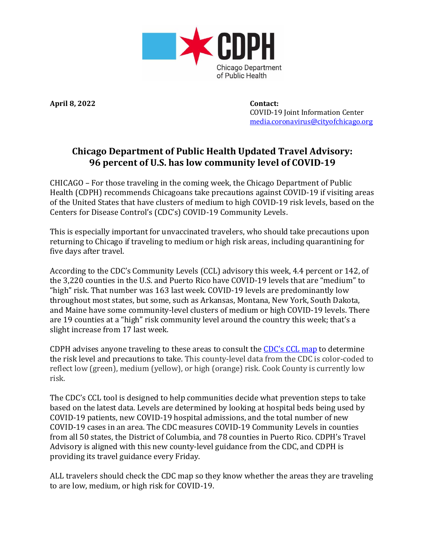

**April 8, 2022 Contact:**

 COVID-19 Joint Information Center [media.coronavirus@cityofchicago.org](mailto:media.coronavirus@cityofchicago.org)

## **Chicago Department of Public Health Updated Travel Advisory: 96 percent of U.S. has low community level of COVID-19**

CHICAGO – For those traveling in the coming week, the Chicago Department of Public Health (CDPH) recommends Chicagoans take precautions against COVID-19 if visiting areas of the United States that have clusters of medium to high COVID-19 risk levels, based on the Centers for Disease Control's (CDC's) COVID-19 Community Levels.

This is especially important for unvaccinated travelers, who should take precautions upon returning to Chicago if traveling to medium or high risk areas, including quarantining for five days after travel.

According to the CDC's Community Levels (CCL) advisory this week, 4.4 percent or 142, of the 3,220 counties in the U.S. and Puerto Rico have COVID-19 levels that are "medium" to "high" risk. That number was 163 last week. COVID-19 levels are predominantly low throughout most states, but some, such as Arkansas, Montana, New York, South Dakota, and Maine have some community-level clusters of medium or high COVID-19 levels. There are 19 counties at a "high" risk community level around the country this week; that's a slight increase from 17 last week.

CDPH advises anyone traveling to these areas to consult the [CDC's](https://www.cdc.gov/coronavirus/2019-ncov/science/community-levels.html) CCL map to determine the risk level and precautions to take. This county-level data from the CDC is color-coded to reflect low (green), medium (yellow), or high (orange) risk. Cook County is currently low risk.

The CDC's CCL tool is designed to help communities decide what prevention steps to take based on the latest data. Levels are determined by looking at hospital beds being used by COVID-19 patients, new COVID-19 hospital admissions, and the total number of new COVID-19 cases in an area. The CDC measures COVID-19 Community Levels in counties from all 50 states, the District of Columbia, and 78 counties in Puerto Rico. CDPH's Travel Advisory is aligned with this new county-level guidance from the CDC, and CDPH is providing its travel guidance every Friday.

ALL travelers should check the CDC map so they know whether the areas they are traveling to are low, medium, or high risk for COVID-19.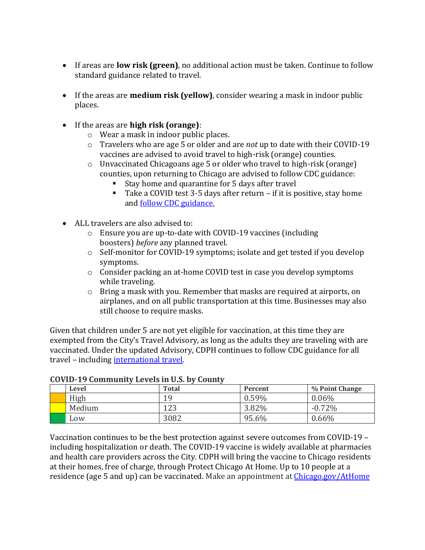- If areas are **low risk (green)**, no additional action must be taken. Continue to follow standard guidance related to travel.
- If the areas are **medium risk (yellow)**, consider wearing a mask in indoor public places.
- If the areas are **high risk (orange)**:
	- o Wear a mask in indoor public places.
	- o Travelers who are age 5 or older and are *not* up to date with their COVID-19 vaccines are advised to avoid travel to high-risk (orange) counties.
	- o Unvaccinated Chicagoans age 5 or older who travel to high-risk (orange) counties, upon returning to Chicago are advised to follow CDC guidance:
		- Stay home and quarantine for 5 days after travel
		- Take a COVID test 3-5 days after return if it is positive, stay home and [follow CDC guidance.](https://www.chicago.gov/city/en/sites/covid-19/home/managing-your-health.html?#tab-whattodo)
- ALL travelers are also advised to:
	- o Ensure you are up-to-date with COVID-19 vaccines (including boosters) *before* any planned travel.
	- o Self-monitor for COVID-19 symptoms; isolate and get tested if you develop symptoms.
	- $\circ$  Consider packing an at-home COVID test in case you develop symptoms while traveling.
	- $\circ$  Bring a mask with you. Remember that masks are required at airports, on airplanes, and on all public transportation at this time. Businesses may also still choose to require masks.

Given that children under 5 are not yet eligible for vaccination, at this time they are exempted from the City's Travel Advisory, as long as the adults they are traveling with are vaccinated. Under the updated Advisory, CDPH continues to follow CDC guidance for all travel – including [international travel.](https://www.cdc.gov/coronavirus/2019-ncov/travelers/international-travel/index.html)

| govern to community beveloped only county |        |              |          |                |
|-------------------------------------------|--------|--------------|----------|----------------|
|                                           | Level  | <b>Total</b> | Percent  | % Point Change |
|                                           | High   | 1 Q          | $0.59\%$ | $0.06\%$       |
|                                           | Medium | 123          | 3.82%    | $-0.72\%$      |
|                                           | Low    | 3082         | 95.6%    | 0.66%          |

## **COVID-19 Community Levels in U.S. by County**

Vaccination continues to be the best protection against severe outcomes from COVID-19 – including hospitalization or death. The COVID-19 vaccine is widely available at pharmacies and health care providers across the City. CDPH will bring the vaccine to Chicago residents at their homes, free of charge, through Protect Chicago At Home. Up to 10 people at a residence (age 5 and up) can be vaccinated. Make an appointment at [Chicago.gov/AtHome](http://chicago.gov/AtHome)